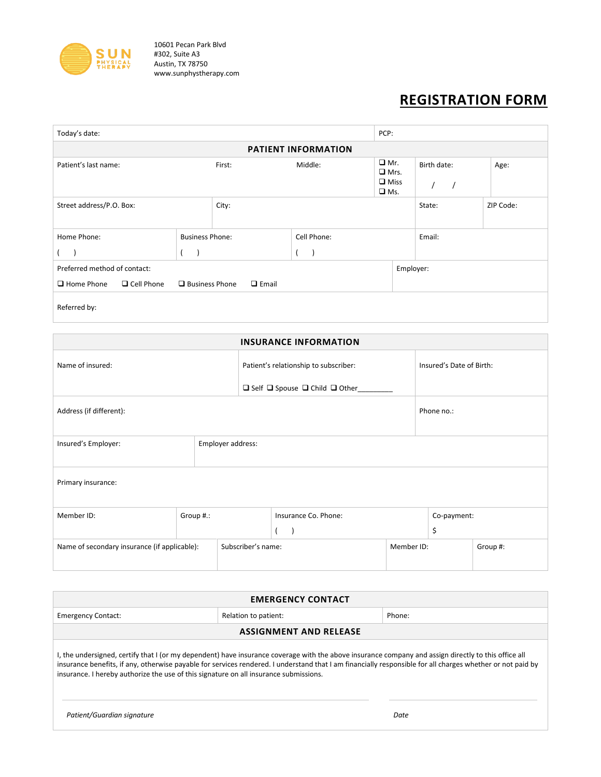

10601 Pecan Park Blvd #302, Suite A3 Austin, TX 78750 www.sunphystherapy.com

## **REGISTRATION FORM**

| Today's date:                                                              |                        |       |                                      |                                 | PCP:        |           |  |
|----------------------------------------------------------------------------|------------------------|-------|--------------------------------------|---------------------------------|-------------|-----------|--|
| <b>PATIENT INFORMATION</b>                                                 |                        |       |                                      |                                 |             |           |  |
| Patient's last name:                                                       | First:                 |       | $\Box$ Mr.<br>Middle:<br>$\Box$ Mrs. |                                 | Birth date: | Age:      |  |
|                                                                            |                        |       |                                      | $\square$ Miss<br>$\square$ Ms. |             |           |  |
| Street address/P.O. Box:                                                   |                        | City: |                                      |                                 | State:      | ZIP Code: |  |
| Home Phone:                                                                | <b>Business Phone:</b> |       | Cell Phone:                          |                                 | Email:      |           |  |
|                                                                            |                        |       |                                      |                                 |             |           |  |
| Preferred method of contact:                                               |                        |       |                                      |                                 | Employer:   |           |  |
| □ Cell Phone<br>$\Box$ Business Phone<br>$\Box$ Home Phone<br>$\Box$ Email |                        |       |                                      |                                 |             |           |  |
| Referred by:                                                               |                        |       |                                      |                                 |             |           |  |

| <b>INSURANCE INFORMATION</b>                 |                   |                    |                                                     |            |                          |          |
|----------------------------------------------|-------------------|--------------------|-----------------------------------------------------|------------|--------------------------|----------|
| Name of insured:                             |                   |                    | Patient's relationship to subscriber:               |            | Insured's Date of Birth: |          |
|                                              |                   |                    | $\Box$ Self $\Box$ Spouse $\Box$ Child $\Box$ Other |            |                          |          |
| Address (if different):                      |                   |                    |                                                     |            | Phone no.:               |          |
| Insured's Employer:                          | Employer address: |                    |                                                     |            |                          |          |
| Primary insurance:                           |                   |                    |                                                     |            |                          |          |
| Member ID:                                   | Group #.:         |                    | Insurance Co. Phone:                                |            | Co-payment:              |          |
|                                              |                   |                    | $\lambda$                                           |            | \$                       |          |
| Name of secondary insurance (if applicable): |                   | Subscriber's name: |                                                     | Member ID: |                          | Group #: |

| <b>EMERGENCY CONTACT</b>                                                                                                                                                                                                                                                                                                                                                                                    |  |  |  |  |  |  |
|-------------------------------------------------------------------------------------------------------------------------------------------------------------------------------------------------------------------------------------------------------------------------------------------------------------------------------------------------------------------------------------------------------------|--|--|--|--|--|--|
| Relation to patient:<br>Phone:<br><b>Emergency Contact:</b>                                                                                                                                                                                                                                                                                                                                                 |  |  |  |  |  |  |
| <b>ASSIGNMENT AND RELEASE</b>                                                                                                                                                                                                                                                                                                                                                                               |  |  |  |  |  |  |
| I, the undersigned, certify that I (or my dependent) have insurance coverage with the above insurance company and assign directly to this office all<br>insurance benefits, if any, otherwise payable for services rendered. I understand that I am financially responsible for all charges whether or not paid by<br>insurance. I hereby authorize the use of this signature on all insurance submissions. |  |  |  |  |  |  |
| Patient/Guardian signature<br>Date                                                                                                                                                                                                                                                                                                                                                                          |  |  |  |  |  |  |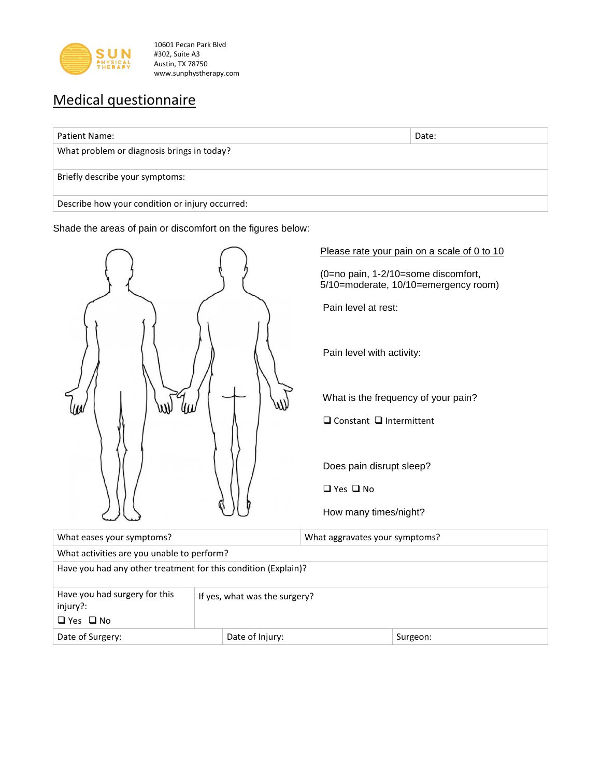

10601 Pecan Park Blvd #302, Suite A3 Austin, TX 78750 www.sunphystherapy.com

## Medical questionnaire

| Patient Name:                                   | Date: |
|-------------------------------------------------|-------|
| What problem or diagnosis brings in today?      |       |
| Briefly describe your symptoms:                 |       |
| Describe how your condition or injury occurred: |       |

Shade the areas of pain or discomfort on the figures below:



Please rate your pain on a scale of 0 to 10

Pain level at rest:

Pain level with activity:

 $\square$  Constant  $\square$  Intermittent

Does pain disrupt sleep?

 $\Box$  Yes  $\Box$  No

How many times/night?

| What eases your symptoms?                                      |  |  | What aggravates your symptoms? |  |  |
|----------------------------------------------------------------|--|--|--------------------------------|--|--|
| What activities are you unable to perform?                     |  |  |                                |  |  |
| Have you had any other treatment for this condition (Explain)? |  |  |                                |  |  |
| If yes, what was the surgery?                                  |  |  |                                |  |  |
|                                                                |  |  |                                |  |  |
| Date of Surgery:<br>Date of Injury:                            |  |  | Surgeon:                       |  |  |
|                                                                |  |  |                                |  |  |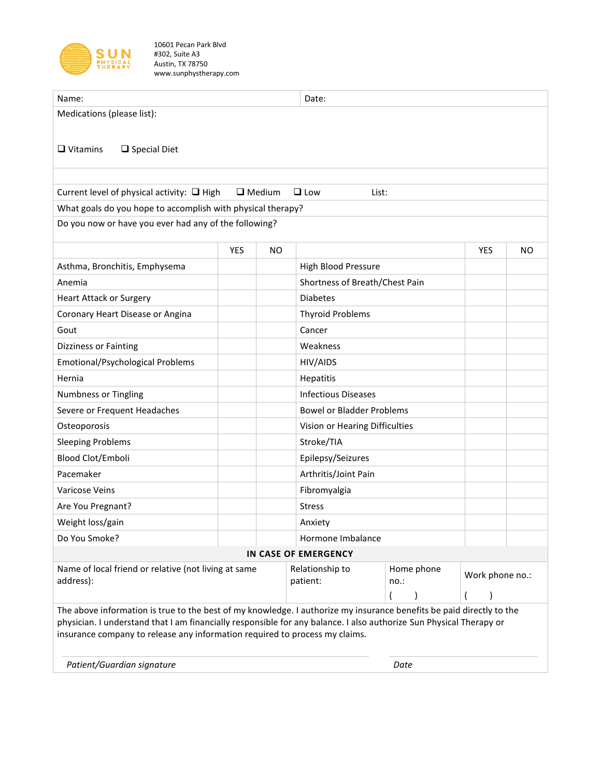

10601 Pecan Park Blvd #302, Suite A3 Austin, TX 78750 www.sunphystherapy.com

| Name:                                                                                                                |                   |                                  | Date:                          |                 |            |           |
|----------------------------------------------------------------------------------------------------------------------|-------------------|----------------------------------|--------------------------------|-----------------|------------|-----------|
| Medications (please list):                                                                                           |                   |                                  |                                |                 |            |           |
|                                                                                                                      |                   |                                  |                                |                 |            |           |
| $\Box$ Vitamins<br>$\square$ Special Diet                                                                            |                   |                                  |                                |                 |            |           |
|                                                                                                                      |                   |                                  |                                |                 |            |           |
|                                                                                                                      |                   |                                  |                                |                 |            |           |
| Current level of physical activity: $\Box$ High                                                                      |                   | $\Box$ Medium                    | $\Box$ Low                     | List:           |            |           |
| What goals do you hope to accomplish with physical therapy?                                                          |                   |                                  |                                |                 |            |           |
| Do you now or have you ever had any of the following?                                                                |                   |                                  |                                |                 |            |           |
|                                                                                                                      | YES               | <b>NO</b>                        |                                |                 | <b>YES</b> | <b>NO</b> |
| Asthma, Bronchitis, Emphysema                                                                                        |                   |                                  | <b>High Blood Pressure</b>     |                 |            |           |
| Anemia                                                                                                               |                   |                                  | Shortness of Breath/Chest Pain |                 |            |           |
| <b>Heart Attack or Surgery</b>                                                                                       |                   |                                  | <b>Diabetes</b>                |                 |            |           |
| Coronary Heart Disease or Angina                                                                                     |                   |                                  | <b>Thyroid Problems</b>        |                 |            |           |
| Gout                                                                                                                 |                   |                                  | Cancer                         |                 |            |           |
| <b>Dizziness or Fainting</b>                                                                                         |                   |                                  | Weakness                       |                 |            |           |
| Emotional/Psychological Problems                                                                                     | HIV/AIDS          |                                  |                                |                 |            |           |
| Hernia                                                                                                               |                   |                                  | Hepatitis                      |                 |            |           |
| <b>Numbness or Tingling</b>                                                                                          |                   |                                  | <b>Infectious Diseases</b>     |                 |            |           |
| Severe or Frequent Headaches                                                                                         |                   | <b>Bowel or Bladder Problems</b> |                                |                 |            |           |
| Osteoporosis<br>Vision or Hearing Difficulties                                                                       |                   |                                  |                                |                 |            |           |
| <b>Sleeping Problems</b>                                                                                             |                   |                                  | Stroke/TIA                     |                 |            |           |
| Blood Clot/Emboli                                                                                                    | Epilepsy/Seizures |                                  |                                |                 |            |           |
| Pacemaker                                                                                                            |                   |                                  | Arthritis/Joint Pain           |                 |            |           |
| Varicose Veins                                                                                                       |                   |                                  | Fibromyalgia                   |                 |            |           |
| Are You Pregnant?                                                                                                    | <b>Stress</b>     |                                  |                                |                 |            |           |
| Weight loss/gain                                                                                                     |                   |                                  | Anxiety                        |                 |            |           |
| Do You Smoke?                                                                                                        |                   |                                  | Hormone Imbalance              |                 |            |           |
|                                                                                                                      |                   |                                  | IN CASE OF EMERGENCY           |                 |            |           |
| Name of local friend or relative (not living at same<br>address):                                                    |                   | Relationship to                  | Home phone                     | Work phone no.: |            |           |
|                                                                                                                      |                   | patient:                         | no.:                           |                 |            |           |
| The above information is true to the best of my knowledge. I authorize my insurance benefits be paid directly to the |                   |                                  |                                |                 |            |           |
| physician. I understand that I am financially responsible for any balance. I also authorize Sun Physical Therapy or  |                   |                                  |                                |                 |            |           |
| insurance company to release any information required to process my claims.                                          |                   |                                  |                                |                 |            |           |
|                                                                                                                      |                   |                                  |                                |                 |            |           |
| Patient/Guardian signature                                                                                           |                   |                                  | Date                           |                 |            |           |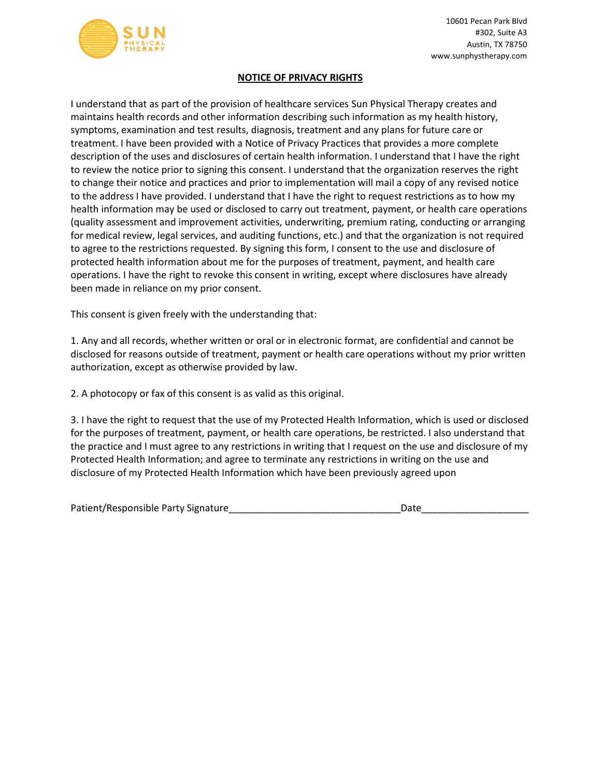

## **NOTICE OF PRIVACY RIGHTS**

I understand that as part of the provision of healthcare services Sun Physical Therapy creates and maintains health records and other information describing such information as my health history, symptoms, examination and test results, diagnosis, treatment and any plans for future care or treatment. I have been provided with a Notice of Privacy Practices that provides a more complete description of the uses and disclosures of certain health information. I understand that I have the right to review the notice prior to signing this consent. I understand that the organization reserves the right to change their notice and practices and prior to implementation will mail a copy of any revised notice to the address I have provided. I understand that I have the right to request restrictions as to how my health information may be used or disclosed to carry out treatment, payment, or health care operations (quality assessment and improvement activities, underwriting, premium rating, conducting or arranging for medical review, legal services, and auditing functions, etc.) and that the organization is not required to agree to the restrictions requested. By signing this form, I consent to the use and disclosure of protected health information about me for the purposes of treatment, payment, and health care operations. I have the right to revoke this consent in writing, except where disclosures have already been made in reliance on my prior consent.

This consent is given freely with the understanding that:

1. Any and all records, whether written or oral or in electronic format, are confidential and cannot be disclosed for reasons outside of treatment, payment or health care operations without my prior written authorization, except as otherwise provided by law.

2. A photocopy or fax of this consent is as valid as this original.

3. I have the right to request that the use of my Protected Health Information, which is used or disclosed for the purposes of treatment, payment, or health care operations, be restricted. I also understand that the practice and I must agree to any restrictions in writing that I request on the use and disclosure of my Protected Health Information; and agree to terminate any restrictions in writing on the use and disclosure of my Protected Health Information which have been previously agreed upon

| Patient/Responsible Party Signature | Date |  |
|-------------------------------------|------|--|
|                                     |      |  |